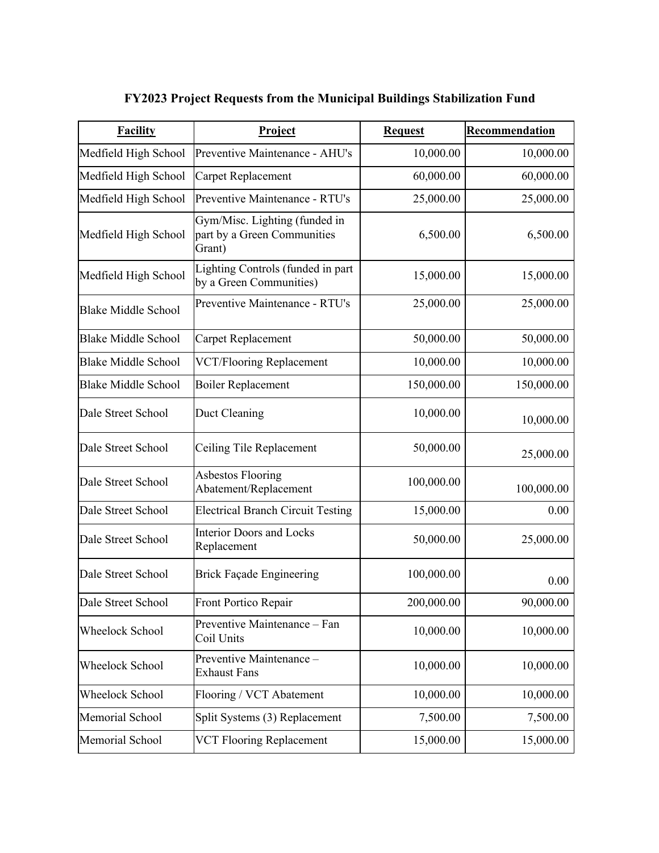| <b>Facility</b>            | Project                                                                | <b>Request</b> | Recommendation |
|----------------------------|------------------------------------------------------------------------|----------------|----------------|
| Medfield High School       | Preventive Maintenance - AHU's                                         | 10,000.00      | 10,000.00      |
| Medfield High School       | <b>Carpet Replacement</b>                                              | 60,000.00      | 60,000.00      |
| Medfield High School       | Preventive Maintenance - RTU's                                         | 25,000.00      | 25,000.00      |
| Medfield High School       | Gym/Misc. Lighting (funded in<br>part by a Green Communities<br>Grant) | 6,500.00       | 6,500.00       |
| Medfield High School       | Lighting Controls (funded in part<br>by a Green Communities)           | 15,000.00      | 15,000.00      |
| <b>Blake Middle School</b> | Preventive Maintenance - RTU's                                         | 25,000.00      | 25,000.00      |
| <b>Blake Middle School</b> | Carpet Replacement                                                     | 50,000.00      | 50,000.00      |
| <b>Blake Middle School</b> | <b>VCT/Flooring Replacement</b>                                        | 10,000.00      | 10,000.00      |
| <b>Blake Middle School</b> | <b>Boiler Replacement</b>                                              | 150,000.00     | 150,000.00     |
| Dale Street School         | Duct Cleaning                                                          | 10,000.00      | 10,000.00      |
| Dale Street School         | Ceiling Tile Replacement                                               | 50,000.00      | 25,000.00      |
| Dale Street School         | <b>Asbestos Flooring</b><br>Abatement/Replacement                      | 100,000.00     | 100,000.00     |
| Dale Street School         | <b>Electrical Branch Circuit Testing</b>                               | 15,000.00      | 0.00           |
| Dale Street School         | <b>Interior Doors and Locks</b><br>Replacement                         | 50,000.00      | 25,000.00      |
| Dale Street School         | <b>Brick Façade Engineering</b>                                        | 100,000.00     | 0.00           |
| Dale Street School         | Front Portico Repair                                                   | 200,000.00     | 90,000.00      |
| Wheelock School            | Preventive Maintenance - Fan<br>Coil Units                             | 10,000.00      | 10,000.00      |
| Wheelock School            | Preventive Maintenance -<br><b>Exhaust Fans</b>                        | 10,000.00      | 10,000.00      |
| Wheelock School            | Flooring / VCT Abatement                                               | 10,000.00      | 10,000.00      |
| Memorial School            | Split Systems (3) Replacement                                          | 7,500.00       | 7,500.00       |
| Memorial School            | <b>VCT Flooring Replacement</b>                                        | 15,000.00      | 15,000.00      |

## **FY2023 Project Requests from the Municipal Buildings Stabilization Fund**